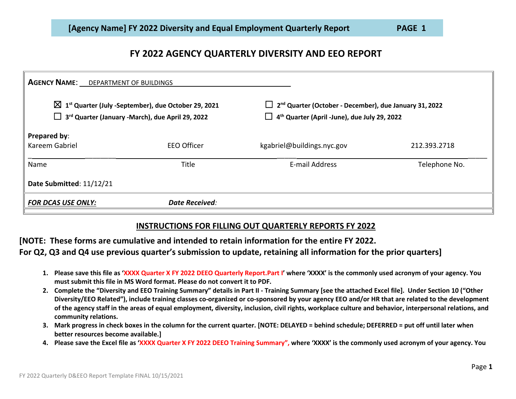# **FY 2022 AGENCY QUARTERLY DIVERSITY AND EEO REPORT**

|              | <b>AGENCY NAME:</b><br>DEPARTMENT OF BUILDINGS |                                                                                                                                 |                                                                                                                                              |               |  |  |  |
|--------------|------------------------------------------------|---------------------------------------------------------------------------------------------------------------------------------|----------------------------------------------------------------------------------------------------------------------------------------------|---------------|--|--|--|
|              | $\Box$                                         | $\boxtimes$ 1 <sup>st</sup> Quarter (July -September), due October 29, 2021<br>3rd Quarter (January -March), due April 29, 2022 | $\Box$ 2 <sup>nd</sup> Quarter (October - December), due January 31, 2022<br>$\Box$ 4 <sup>th</sup> Quarter (April -June), due July 29, 2022 |               |  |  |  |
| Prepared by: | Kareem Gabriel                                 | <b>EEO Officer</b>                                                                                                              | kgabriel@buildings.nyc.gov                                                                                                                   | 212.393.2718  |  |  |  |
| Name         |                                                | Title                                                                                                                           | E-mail Address                                                                                                                               | Telephone No. |  |  |  |
|              | Date Submitted: 11/12/21                       |                                                                                                                                 |                                                                                                                                              |               |  |  |  |
|              | <b>FOR DCAS USE ONLY:</b>                      | <b>Date Received:</b>                                                                                                           |                                                                                                                                              |               |  |  |  |

## **INSTRUCTIONS FOR FILLING OUT QUARTERLY REPORTS FY 2022**

**[NOTE: These forms are cumulative and intended to retain information for the entire FY 2022.**

**For Q2, Q3 and Q4 use previous quarter's submission to update, retaining all information for the prior quarters]**

- **1. Please save this file as 'XXXX Quarter X FY 2022 DEEO Quarterly Report.Part I' where 'XXXX' is the commonly used acronym of your agency. You must submit this file in MS Word format. Please do not convert it to PDF.**
- **2. Complete the "Diversity and EEO Training Summary" details in Part II - Training Summary [see the attached Excel file]. Under Section 10 ("Other Diversity/EEO Related"), include training classes co-organized or co-sponsored by your agency EEO and/or HR that are related to the development of the agency staff in the areas of equal employment, diversity, inclusion, civil rights, workplace culture and behavior, interpersonal relations, and community relations.**
- **3. Mark progress in check boxes in the column for the current quarter. [NOTE: DELAYED = behind schedule; DEFERRED = put off until later when better resources become available.]**
- **4. Please save the Excel file as 'XXXX Quarter X FY 2022 DEEO Training Summary", where 'XXXX' is the commonly used acronym of your agency. You**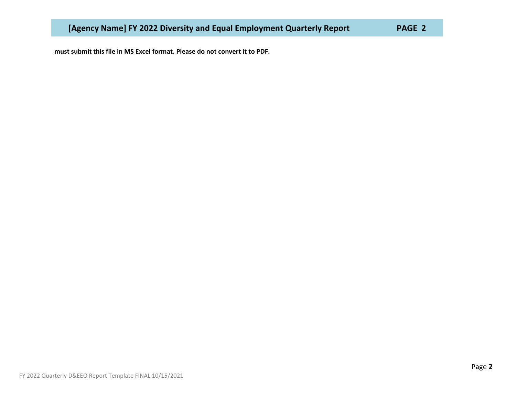**must submit this file in MS Excel format. Please do not convert it to PDF.**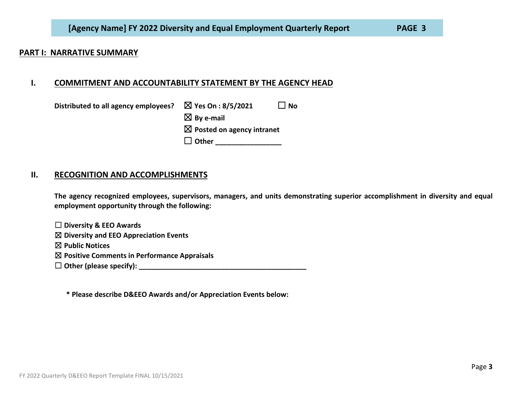#### **PART I: NARRATIVE SUMMARY**

#### **I. COMMITMENT AND ACCOUNTABILITY STATEMENT BY THE AGENCY HEAD**

| Distributed to all agency employees? | $\boxtimes$ Yes On : 8/5/2021<br>$\Box$ No |
|--------------------------------------|--------------------------------------------|
|                                      | $\boxtimes$ By e-mail                      |
|                                      | $\boxtimes$ Posted on agency intranet      |
|                                      | $\Box$ Other                               |

#### **II. RECOGNITION AND ACCOMPLISHMENTS**

**The agency recognized employees, supervisors, managers, and units demonstrating superior accomplishment in diversity and equal employment opportunity through the following:**

☐ **Diversity & EEO Awards**

☒ **Diversity and EEO Appreciation Events**

- ☒ **Public Notices**
- ☒ **Positive Comments in Performance Appraisals**

☐ **Other (please specify): \_\_\_\_\_\_\_\_\_\_\_\_\_\_\_\_\_\_\_\_\_\_\_\_\_\_\_\_\_\_\_\_\_\_\_\_\_\_\_\_\_\_\_**

**\* Please describe D&EEO Awards and/or Appreciation Events below:**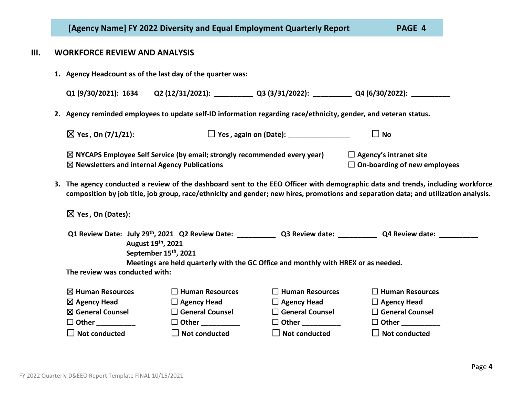#### **III. WORKFORCE REVIEW AND ANALYSIS**

**1. Agency Headcount as of the last day of the quarter was:**

**Q1 (9/30/2021): 1634 Q2 (12/31/2021): \_\_\_\_\_\_\_\_\_\_ Q3 (3/31/2022): \_\_\_\_\_\_\_\_\_\_ Q4 (6/30/2022): \_\_\_\_\_\_\_\_\_\_**

**2. Agency reminded employees to update self-ID information regarding race/ethnicity, gender, and veteran status.**

| $\boxtimes$ Yes, On (7/1/21): | $\Box$ Yes, again on (Date): | $\Box$ No |
|-------------------------------|------------------------------|-----------|
|                               |                              |           |

☒ **NYCAPS Employee Self Service (by email; strongly recommended every year)** ☐ **Agency's intranet site** ☒ **Newsletters and internal Agency Publications** ☐ **On-boarding of new employees**

**3. The agency conducted a review of the dashboard sent to the EEO Officer with demographic data and trends, including workforce composition by job title, job group, race/ethnicity and gender; new hires, promotions and separation data; and utilization analysis.**

| $\boxtimes$ Yes, On (Dates): |  |  |  |
|------------------------------|--|--|--|
|------------------------------|--|--|--|

|                                       | Q1 Review Date: July 29th, 2021 Q2 Review Date:                                    | Q3 Review date:        | <b>Q4 Review date:</b> |  |
|---------------------------------------|------------------------------------------------------------------------------------|------------------------|------------------------|--|
|                                       | August 19 <sup>th</sup> , 2021                                                     |                        |                        |  |
|                                       | September 15 <sup>th</sup> , 2021                                                  |                        |                        |  |
|                                       | Meetings are held quarterly with the GC Office and monthly with HREX or as needed. |                        |                        |  |
| The review was conducted with:        |                                                                                    |                        |                        |  |
| $\nabla$ U <sub>U</sub> MAM DACAUKSAS | Uuman Docourses                                                                    | $\Box$ Uuman Docourses | $\Box$ Uuman Dacaussac |  |

| $\boxtimes$ Human Resources | $\square$ Human Resources | $\square$ Human Resources | $\Box$ Human Resources |
|-----------------------------|---------------------------|---------------------------|------------------------|
| $\boxtimes$ Agency Head     | $\Box$ Agency Head        | $\Box$ Agency Head        | $\Box$ Agency Head     |
| $\boxtimes$ General Counsel | $\square$ General Counsel | $\square$ General Counsel | $\Box$ General Counsel |
| $\square$ Other             | $\square$ Other           | $\Box$ Other              | $\Box$ Other           |
| $\Box$ Not conducted        | $\Box$ Not conducted      | $\Box$ Not conducted      | $\Box$ Not conducted   |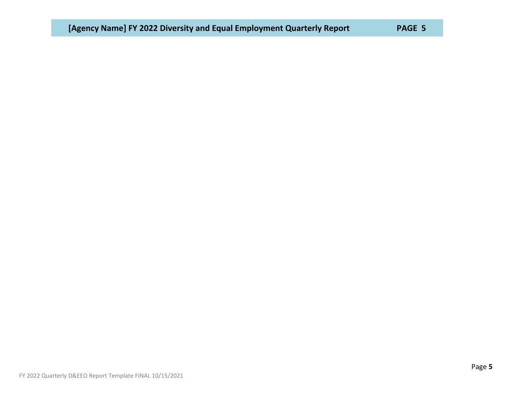| [Agency Name] FY 2022 Diversity and Equal Employment Quarterly Report | <b>PAGE 5</b> |
|-----------------------------------------------------------------------|---------------|
|-----------------------------------------------------------------------|---------------|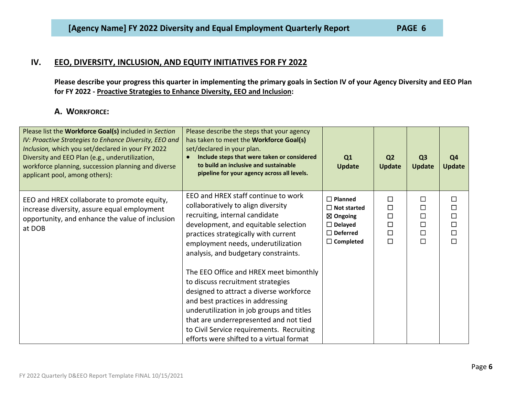## **IV. EEO, DIVERSITY, INCLUSION, AND EQUITY INITIATIVES FOR FY 2022**

**Please describe your progress this quarter in implementing the primary goals in Section IV of your Agency Diversity and EEO Plan for FY 2022 - Proactive Strategies to Enhance Diversity, EEO and Inclusion:**

## **A. WORKFORCE:**

| Please list the Workforce Goal(s) included in Section<br>IV: Proactive Strategies to Enhance Diversity, EEO and<br>Inclusion, which you set/declared in your FY 2022<br>Diversity and EEO Plan (e.g., underutilization,<br>workforce planning, succession planning and diverse<br>applicant pool, among others): | Please describe the steps that your agency<br>has taken to meet the Workforce Goal(s)<br>set/declared in your plan.<br>Include steps that were taken or considered<br>to build an inclusive and sustainable<br>pipeline for your agency across all levels.                                                          | Q1<br><b>Update</b>                                                                                                  | Q <sub>2</sub><br><b>Update</b>           | Q <sub>3</sub><br><b>Update</b>                     | Q <sub>4</sub><br><b>Update</b>                          |
|------------------------------------------------------------------------------------------------------------------------------------------------------------------------------------------------------------------------------------------------------------------------------------------------------------------|---------------------------------------------------------------------------------------------------------------------------------------------------------------------------------------------------------------------------------------------------------------------------------------------------------------------|----------------------------------------------------------------------------------------------------------------------|-------------------------------------------|-----------------------------------------------------|----------------------------------------------------------|
| EEO and HREX collaborate to promote equity,<br>increase diversity, assure equal employment<br>opportunity, and enhance the value of inclusion<br>at DOB                                                                                                                                                          | EEO and HREX staff continue to work<br>collaboratively to align diversity<br>recruiting, internal candidate<br>development, and equitable selection<br>practices strategically with current<br>employment needs, underutilization<br>analysis, and budgetary constraints.<br>The EEO Office and HREX meet bimonthly | $\Box$ Planned<br>$\Box$ Not started<br>$\boxtimes$ Ongoing<br>$\Box$ Delayed<br>$\Box$ Deferred<br>$\Box$ Completed | $\Box$<br>□<br>$\Box$<br>口<br>$\Box$<br>□ | □<br>$\Box$<br>$\Box$<br>$\Box$<br>$\Box$<br>$\Box$ | $\Box$<br>$\Box$<br>$\Box$<br>$\Box$<br>$\Box$<br>$\Box$ |
|                                                                                                                                                                                                                                                                                                                  | to discuss recruitment strategies<br>designed to attract a diverse workforce<br>and best practices in addressing<br>underutilization in job groups and titles<br>that are underrepresented and not tied<br>to Civil Service requirements. Recruiting<br>efforts were shifted to a virtual format                    |                                                                                                                      |                                           |                                                     |                                                          |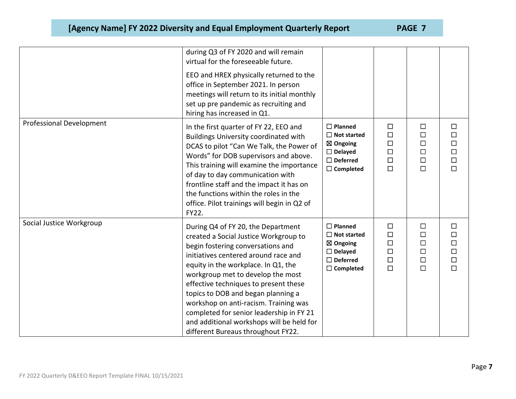|                                 | during Q3 of FY 2020 and will remain<br>virtual for the foreseeable future.<br>EEO and HREX physically returned to the<br>office in September 2021. In person<br>meetings will return to its initial monthly<br>set up pre pandemic as recruiting and<br>hiring has increased in Q1.                                                                                                                                                                                                        |                                                                                                                         |                                                          |                                                          |                                                          |
|---------------------------------|---------------------------------------------------------------------------------------------------------------------------------------------------------------------------------------------------------------------------------------------------------------------------------------------------------------------------------------------------------------------------------------------------------------------------------------------------------------------------------------------|-------------------------------------------------------------------------------------------------------------------------|----------------------------------------------------------|----------------------------------------------------------|----------------------------------------------------------|
| <b>Professional Development</b> | In the first quarter of FY 22, EEO and<br>Buildings University coordinated with<br>DCAS to pilot "Can We Talk, the Power of<br>Words" for DOB supervisors and above.<br>This training will examine the importance<br>of day to day communication with<br>frontline staff and the impact it has on<br>the functions within the roles in the<br>office. Pilot trainings will begin in Q2 of<br>FY22.                                                                                          | $\Box$ Planned<br>$\Box$ Not started<br>$\boxtimes$ Ongoing<br>$\Box$ Delayed<br>$\Box$ Deferred<br>$\Box$ Completed    | $\Box$<br>$\Box$<br>$\Box$<br>$\Box$<br>$\Box$<br>$\Box$ | $\Box$<br>$\Box$<br>$\Box$<br>$\Box$<br>$\Box$<br>$\Box$ | $\Box$<br>$\Box$<br>$\Box$<br>$\Box$<br>$\Box$<br>$\Box$ |
| Social Justice Workgroup        | During Q4 of FY 20, the Department<br>created a Social Justice Workgroup to<br>begin fostering conversations and<br>initiatives centered around race and<br>equity in the workplace. In Q1, the<br>workgroup met to develop the most<br>effective techniques to present these<br>topics to DOB and began planning a<br>workshop on anti-racism. Training was<br>completed for senior leadership in FY 21<br>and additional workshops will be held for<br>different Bureaus throughout FY22. | $\Box$ Planned<br>$\square$ Not started<br>$\boxtimes$ Ongoing<br>$\Box$ Delayed<br>$\Box$ Deferred<br>$\Box$ Completed | $\Box$<br>$\Box$<br>$\Box$<br>$\Box$<br>$\Box$<br>$\Box$ | $\Box$<br>$\Box$<br>$\Box$<br>$\Box$<br>$\Box$<br>$\Box$ | $\Box$<br>$\Box$<br>$\Box$<br>$\Box$<br>$\Box$<br>$\Box$ |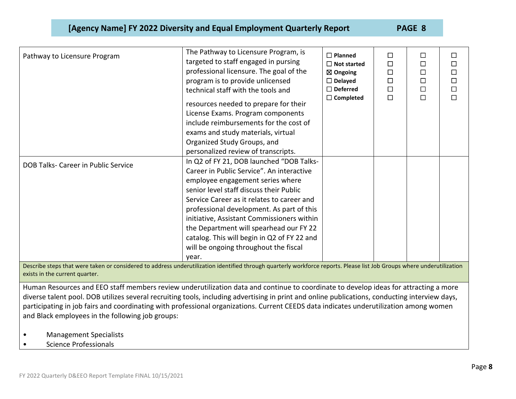| Pathway to Licensure Program                                                                                                                                                                                  | The Pathway to Licensure Program, is<br>targeted to staff engaged in pursing<br>professional licensure. The goal of the<br>program is to provide unlicensed<br>technical staff with the tools and<br>resources needed to prepare for their<br>License Exams. Program components<br>include reimbursements for the cost of<br>exams and study materials, virtual<br>Organized Study Groups, and                | $\Box$ Planned<br>$\Box$ Not started<br>$\boxtimes$ Ongoing<br>$\Box$ Delayed<br>$\Box$ Deferred<br>$\Box$ Completed | □<br>□<br>□<br>$\Box$<br>□<br>□ | П<br>П<br>п<br>П<br>□<br>П | П<br>П<br>□<br>$\Box$<br>$\Box$<br>$\Box$ |
|---------------------------------------------------------------------------------------------------------------------------------------------------------------------------------------------------------------|---------------------------------------------------------------------------------------------------------------------------------------------------------------------------------------------------------------------------------------------------------------------------------------------------------------------------------------------------------------------------------------------------------------|----------------------------------------------------------------------------------------------------------------------|---------------------------------|----------------------------|-------------------------------------------|
|                                                                                                                                                                                                               | personalized review of transcripts.<br>In Q2 of FY 21, DOB launched "DOB Talks-                                                                                                                                                                                                                                                                                                                               |                                                                                                                      |                                 |                            |                                           |
| DOB Talks- Career in Public Service<br>Describe steps that were taken or considered to address underutilization identified through quarterly workforce reports. Please list Job Groups where underutilization | Career in Public Service". An interactive<br>employee engagement series where<br>senior level staff discuss their Public<br>Service Career as it relates to career and<br>professional development. As part of this<br>initiative, Assistant Commissioners within<br>the Department will spearhead our FY 22<br>catalog. This will begin in Q2 of FY 22 and<br>will be ongoing throughout the fiscal<br>vear. |                                                                                                                      |                                 |                            |                                           |

Describe steps that were taken or considered to address underutilization identified through quarterly workforce reports. Please list Job Groups where underutilization exists in the current quarter.

Human Resources and EEO staff members review underutilization data and continue to coordinate to develop ideas for attracting a more diverse talent pool. DOB utilizes several recruiting tools, including advertising in print and online publications, conducting interview days, participating in job fairs and coordinating with professional organizations. Current CEEDS data indicates underutilization among women and Black employees in the following job groups:

- Management Specialists
- Science Professionals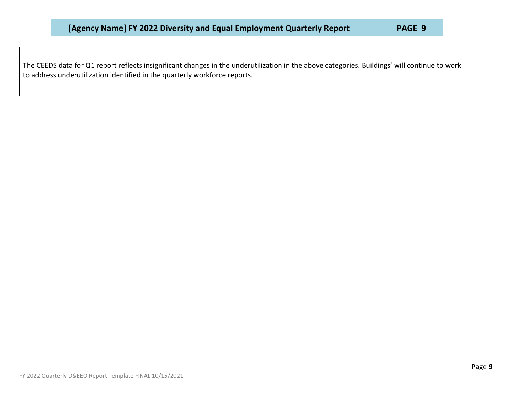The CEEDS data for Q1 report reflects insignificant changes in the underutilization in the above categories. Buildings' will continue to work to address underutilization identified in the quarterly workforce reports.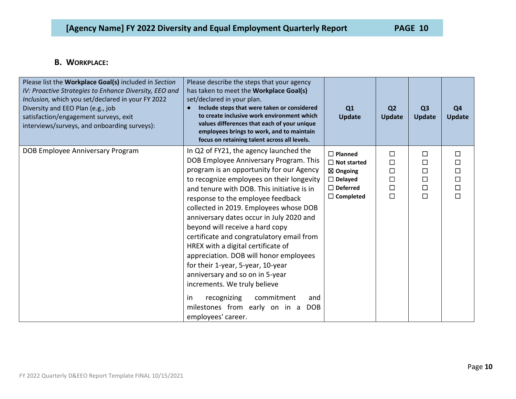# **B. WORKPLACE:**

| Please list the Workplace Goal(s) included in Section<br>IV: Proactive Strategies to Enhance Diversity, EEO and<br>Inclusion, which you set/declared in your FY 2022<br>Diversity and EEO Plan (e.g., job<br>satisfaction/engagement surveys, exit<br>interviews/surveys, and onboarding surveys): | Please describe the steps that your agency<br>has taken to meet the Workplace Goal(s)<br>set/declared in your plan.<br>Include steps that were taken or considered<br>to create inclusive work environment which<br>values differences that each of your unique<br>employees brings to work, and to maintain<br>focus on retaining talent across all levels.                                                                                                                                                                                                                                                                                                                                                                              | Q1<br><b>Update</b>                                                                                                  | Q <sub>2</sub><br><b>Update</b>                          | Q <sub>3</sub><br><b>Update</b>                     | Q <sub>4</sub><br><b>Update</b>                     |
|----------------------------------------------------------------------------------------------------------------------------------------------------------------------------------------------------------------------------------------------------------------------------------------------------|-------------------------------------------------------------------------------------------------------------------------------------------------------------------------------------------------------------------------------------------------------------------------------------------------------------------------------------------------------------------------------------------------------------------------------------------------------------------------------------------------------------------------------------------------------------------------------------------------------------------------------------------------------------------------------------------------------------------------------------------|----------------------------------------------------------------------------------------------------------------------|----------------------------------------------------------|-----------------------------------------------------|-----------------------------------------------------|
| DOB Employee Anniversary Program                                                                                                                                                                                                                                                                   | In Q2 of FY21, the agency launched the<br>DOB Employee Anniversary Program. This<br>program is an opportunity for our Agency<br>to recognize employees on their longevity<br>and tenure with DOB. This initiative is in<br>response to the employee feedback<br>collected in 2019. Employees whose DOB<br>anniversary dates occur in July 2020 and<br>beyond will receive a hard copy<br>certificate and congratulatory email from<br>HREX with a digital certificate of<br>appreciation. DOB will honor employees<br>for their 1-year, 5-year, 10-year<br>anniversary and so on in 5-year<br>increments. We truly believe<br>recognizing<br>commitment<br>in<br>and<br>milestones from early on in a<br><b>DOB</b><br>employees' career. | $\Box$ Planned<br>$\Box$ Not started<br>$\boxtimes$ Ongoing<br>$\Box$ Delayed<br>$\Box$ Deferred<br>$\Box$ Completed | $\Box$<br>$\Box$<br>$\Box$<br>$\Box$<br>$\Box$<br>$\Box$ | □<br>$\Box$<br>$\Box$<br>$\Box$<br>$\Box$<br>$\Box$ | □<br>$\Box$<br>$\Box$<br>$\Box$<br>$\Box$<br>$\Box$ |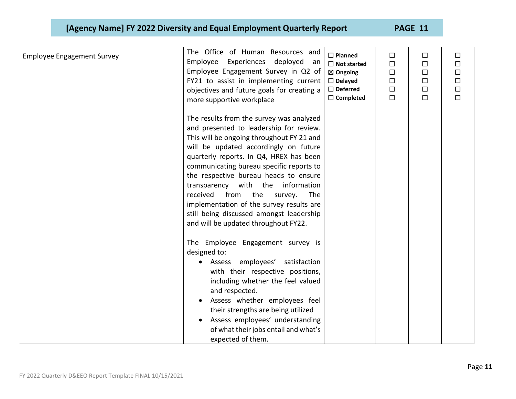| <b>Employee Engagement Survey</b> | The Office of Human Resources and<br>Employee Experiences deployed<br>an<br>Employee Engagement Survey in Q2 of<br>FY21 to assist in implementing current<br>objectives and future goals for creating a<br>more supportive workplace                                                                                                                                                                                                                                                                                        | $\Box$ Planned<br>$\Box$ Not started<br>$\boxtimes$ Ongoing<br>$\Box$ Delayed<br>$\square$ Deferred<br>$\Box$ Completed | $\Box$<br>$\Box$<br>$\Box$<br>□<br>$\Box$<br>$\Box$ | $\Box$<br>□<br>$\Box$<br>$\Box$<br>$\Box$<br>$\Box$ | $\Box$<br>$\Box$<br>$\Box$<br>$\Box$<br>$\Box$<br>$\Box$ |
|-----------------------------------|-----------------------------------------------------------------------------------------------------------------------------------------------------------------------------------------------------------------------------------------------------------------------------------------------------------------------------------------------------------------------------------------------------------------------------------------------------------------------------------------------------------------------------|-------------------------------------------------------------------------------------------------------------------------|-----------------------------------------------------|-----------------------------------------------------|----------------------------------------------------------|
|                                   | The results from the survey was analyzed<br>and presented to leadership for review.<br>This will be ongoing throughout FY 21 and<br>will be updated accordingly on future<br>quarterly reports. In Q4, HREX has been<br>communicating bureau specific reports to<br>the respective bureau heads to ensure<br>transparency with the information<br>the<br>received<br>from<br>The<br>survey.<br>implementation of the survey results are<br>still being discussed amongst leadership<br>and will be updated throughout FY22. |                                                                                                                         |                                                     |                                                     |                                                          |
|                                   | The Employee Engagement survey is<br>designed to:<br>Assess employees'<br>satisfaction<br>with their respective positions,<br>including whether the feel valued<br>and respected.<br>Assess whether employees feel<br>their strengths are being utilized<br>Assess employees' understanding<br>of what their jobs entail and what's<br>expected of them.                                                                                                                                                                    |                                                                                                                         |                                                     |                                                     |                                                          |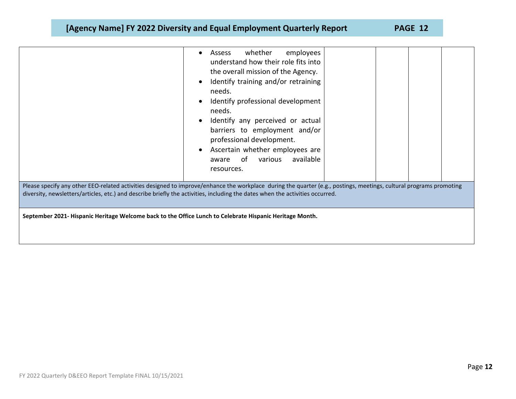|                                                                                                                                                                                                                                                                                                      | whether<br>employees<br>Assess<br>understand how their role fits into<br>the overall mission of the Agency.<br>Identify training and/or retraining<br>needs.<br>Identify professional development<br>needs.<br>Identify any perceived or actual<br>barriers to employment and/or<br>professional development.<br>Ascertain whether employees are<br>available<br>of various<br>aware<br>resources. |  |
|------------------------------------------------------------------------------------------------------------------------------------------------------------------------------------------------------------------------------------------------------------------------------------------------------|----------------------------------------------------------------------------------------------------------------------------------------------------------------------------------------------------------------------------------------------------------------------------------------------------------------------------------------------------------------------------------------------------|--|
| Please specify any other EEO-related activities designed to improve/enhance the workplace during the quarter (e.g., postings, meetings, cultural programs promoting<br>diversity, newsletters/articles, etc.) and describe briefly the activities, including the dates when the activities occurred. |                                                                                                                                                                                                                                                                                                                                                                                                    |  |
| September 2021- Hispanic Heritage Welcome back to the Office Lunch to Celebrate Hispanic Heritage Month.                                                                                                                                                                                             |                                                                                                                                                                                                                                                                                                                                                                                                    |  |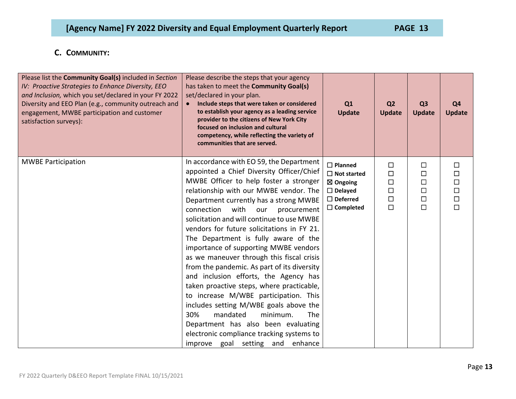# **C. COMMUNITY:**

| Please list the Community Goal(s) included in Section<br>IV: Proactive Strategies to Enhance Diversity, EEO<br>and Inclusion, which you set/declared in your FY 2022<br>Diversity and EEO Plan (e.g., community outreach and<br>engagement, MWBE participation and customer<br>satisfaction surveys): | Please describe the steps that your agency<br>has taken to meet the Community Goal(s)<br>set/declared in your plan.<br>Include steps that were taken or considered<br>$\bullet$<br>to establish your agency as a leading service<br>provider to the citizens of New York City<br>focused on inclusion and cultural<br>competency, while reflecting the variety of<br>communities that are served.                                                                                                                                                                                                                                                                                                                                                                                                                                                                                      | Q1<br><b>Update</b>                                                                                                  | Q <sub>2</sub><br><b>Update</b>                          | Q <sub>3</sub><br>Update                                 | Q <sub>4</sub><br><b>Update</b> |
|-------------------------------------------------------------------------------------------------------------------------------------------------------------------------------------------------------------------------------------------------------------------------------------------------------|----------------------------------------------------------------------------------------------------------------------------------------------------------------------------------------------------------------------------------------------------------------------------------------------------------------------------------------------------------------------------------------------------------------------------------------------------------------------------------------------------------------------------------------------------------------------------------------------------------------------------------------------------------------------------------------------------------------------------------------------------------------------------------------------------------------------------------------------------------------------------------------|----------------------------------------------------------------------------------------------------------------------|----------------------------------------------------------|----------------------------------------------------------|---------------------------------|
| <b>MWBE Participation</b>                                                                                                                                                                                                                                                                             | In accordance with EO 59, the Department<br>appointed a Chief Diversity Officer/Chief<br>MWBE Officer to help foster a stronger<br>relationship with our MWBE vendor. The<br>Department currently has a strong MWBE<br>with<br>connection<br>our<br>procurement<br>solicitation and will continue to use MWBE<br>vendors for future solicitations in FY 21.<br>The Department is fully aware of the<br>importance of supporting MWBE vendors<br>as we maneuver through this fiscal crisis<br>from the pandemic. As part of its diversity<br>and inclusion efforts, the Agency has<br>taken proactive steps, where practicable,<br>to increase M/WBE participation. This<br>includes setting M/WBE goals above the<br>30%<br>mandated<br>minimum.<br><b>The</b><br>Department has also been evaluating<br>electronic compliance tracking systems to<br>improve goal setting and enhance | $\Box$ Planned<br>$\Box$ Not started<br>$\boxtimes$ Ongoing<br>$\Box$ Delayed<br>$\Box$ Deferred<br>$\Box$ Completed | $\Box$<br>$\Box$<br>$\Box$<br>$\Box$<br>$\Box$<br>$\Box$ | $\Box$<br>$\Box$<br>$\Box$<br>$\Box$<br>$\Box$<br>$\Box$ | $\Box$<br>$\Box$<br>0000        |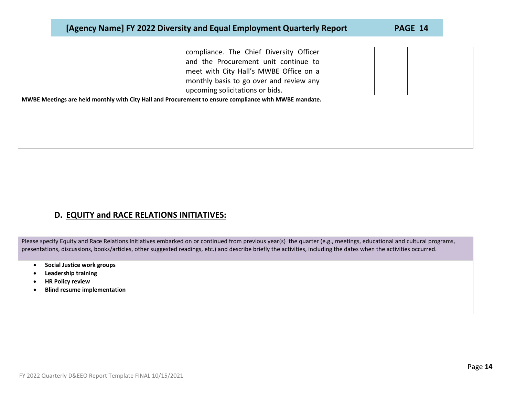# **[Agency Name] FY 2022 Diversity and Equal Employment Quarterly Report PAGE 14**

|                                                                                                       | compliance. The Chief Diversity Officer |  |  |
|-------------------------------------------------------------------------------------------------------|-----------------------------------------|--|--|
|                                                                                                       | and the Procurement unit continue to    |  |  |
|                                                                                                       | meet with City Hall's MWBE Office on a  |  |  |
|                                                                                                       | monthly basis to go over and review any |  |  |
|                                                                                                       | upcoming solicitations or bids.         |  |  |
| MWBE Meetings are held monthly with City Hall and Procurement to ensure compliance with MWBE mandate. |                                         |  |  |
|                                                                                                       |                                         |  |  |
|                                                                                                       |                                         |  |  |
|                                                                                                       |                                         |  |  |
|                                                                                                       |                                         |  |  |
|                                                                                                       |                                         |  |  |

# **D. EQUITY and RACE RELATIONS INITIATIVES:**

Please specify Equity and Race Relations Initiatives embarked on or continued from previous year(s) the quarter (e.g., meetings, educational and cultural programs, presentations, discussions, books/articles, other suggested readings, etc.) and describe briefly the activities, including the dates when the activities occurred.

- **Social Justice work groups**
- **Leadership training**
- **HR Policy review**
- **Blind resume implementation**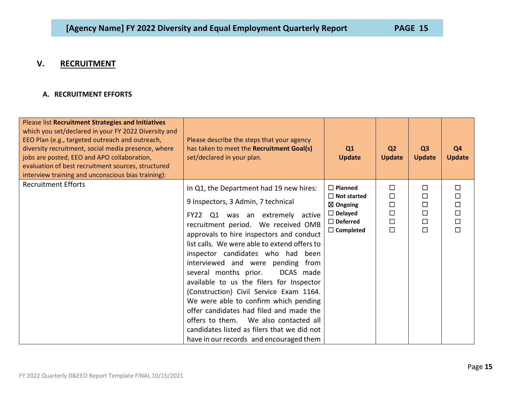# **V. RECRUITMENT**

## **A. RECRUITMENT EFFORTS**

| Please list Recruitment Strategies and Initiatives<br>which you set/declared in your FY 2022 Diversity and<br>EEO Plan (e.g., targeted outreach and outreach,<br>diversity recruitment, social media presence, where<br>jobs are posted, EEO and APO collaboration,<br>evaluation of best recruitment sources, structured<br>interview training and unconscious bias training): | Please describe the steps that your agency<br>has taken to meet the Recruitment Goal(s)<br>set/declared in your plan.                                                                                                                                                                                                                                                                                                                                                                                                                                                                                                                                                             | Q1<br><b>Update</b>                                                                                                  | Q <sub>2</sub><br><b>Update</b>           | Q <sub>3</sub><br><b>Update</b>      | Q <sub>4</sub><br><b>Update</b>                          |
|---------------------------------------------------------------------------------------------------------------------------------------------------------------------------------------------------------------------------------------------------------------------------------------------------------------------------------------------------------------------------------|-----------------------------------------------------------------------------------------------------------------------------------------------------------------------------------------------------------------------------------------------------------------------------------------------------------------------------------------------------------------------------------------------------------------------------------------------------------------------------------------------------------------------------------------------------------------------------------------------------------------------------------------------------------------------------------|----------------------------------------------------------------------------------------------------------------------|-------------------------------------------|--------------------------------------|----------------------------------------------------------|
| <b>Recruitment Efforts</b>                                                                                                                                                                                                                                                                                                                                                      | In Q1, the Department had 19 new hires:<br>9 Inspectors, 3 Admin, 7 technical<br>FY22 Q1 was an extremely active<br>recruitment period. We received OMB<br>approvals to hire inspectors and conduct<br>list calls. We were able to extend offers to<br>inspector candidates who had been<br>interviewed and were pending from<br>several months prior.<br>DCAS made<br>available to us the filers for Inspector<br>(Construction) Civil Service Exam 1164.<br>We were able to confirm which pending<br>offer candidates had filed and made the<br>offers to them. We also contacted all<br>candidates listed as filers that we did not<br>have in our records and encouraged them | $\Box$ Planned<br>$\Box$ Not started<br>$\boxtimes$ Ongoing<br>$\Box$ Delayed<br>$\Box$ Deferred<br>$\Box$ Completed | □<br>□<br>$\Box$<br>$\Box$<br>□<br>$\Box$ | П<br>□<br>□<br>$\Box$<br>□<br>$\Box$ | $\Box$<br>$\Box$<br>$\Box$<br>$\Box$<br>$\Box$<br>$\Box$ |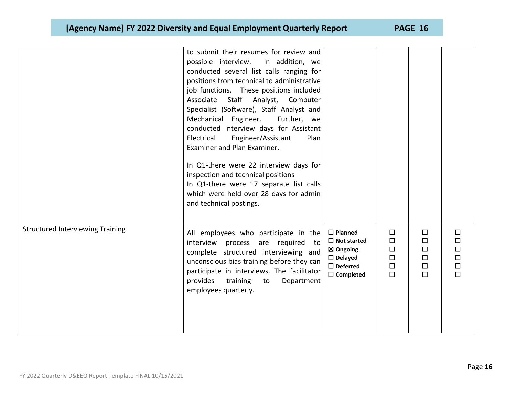|                                         | to submit their resumes for review and<br>possible interview.<br>In addition, we<br>conducted several list calls ranging for<br>positions from technical to administrative<br>job functions. These positions included<br>Staff Analyst, Computer<br>Associate<br>Specialist (Software), Staff Analyst and<br>Mechanical Engineer.<br>Further, we<br>conducted interview days for Assistant<br>Electrical<br>Engineer/Assistant<br>Plan<br>Examiner and Plan Examiner.<br>In Q1-there were 22 interview days for<br>inspection and technical positions<br>In Q1-there were 17 separate list calls<br>which were held over 28 days for admin<br>and technical postings. |                                                                                                                      |                                                     |                                                |                                                          |
|-----------------------------------------|-----------------------------------------------------------------------------------------------------------------------------------------------------------------------------------------------------------------------------------------------------------------------------------------------------------------------------------------------------------------------------------------------------------------------------------------------------------------------------------------------------------------------------------------------------------------------------------------------------------------------------------------------------------------------|----------------------------------------------------------------------------------------------------------------------|-----------------------------------------------------|------------------------------------------------|----------------------------------------------------------|
| <b>Structured Interviewing Training</b> | All employees who participate in the<br>interview<br>process<br>are required to<br>complete structured interviewing and<br>unconscious bias training before they can<br>participate in interviews. The facilitator<br>provides<br>training<br>to<br>Department<br>employees quarterly.                                                                                                                                                                                                                                                                                                                                                                                | $\Box$ Planned<br>$\Box$ Not started<br>$\boxtimes$ Ongoing<br>$\Box$ Delayed<br>$\Box$ Deferred<br>$\Box$ Completed | □<br>$\Box$<br>$\Box$<br>$\Box$<br>$\Box$<br>$\Box$ | $\Box$<br>□<br>$\Box$<br>□<br>$\Box$<br>$\Box$ | $\Box$<br>$\Box$<br>$\Box$<br>$\Box$<br>$\Box$<br>$\Box$ |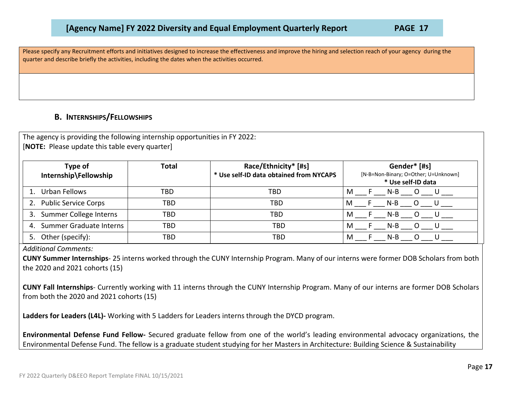Please specify any Recruitment efforts and initiatives designed to increase the effectiveness and improve the hiring and selection reach of your agency during the quarter and describe briefly the activities, including the dates when the activities occurred.

# **B. INTERNSHIPS/FELLOWSHIPS**

The agency is providing the following internship opportunities in FY 2022: [**NOTE:** Please update this table every quarter]

| Type of<br>Internship\Fellowship | Total | Race/Ethnicity* [#s]<br>* Use self-ID data obtained from NYCAPS | Gender* [#s]<br>[N-B=Non-Binary; O=Other; U=Unknown]<br>* Use self-ID data |
|----------------------------------|-------|-----------------------------------------------------------------|----------------------------------------------------------------------------|
| 1. Urban Fellows                 | TBD   | TBD                                                             | M<br>$N-B$                                                                 |
| 2. Public Service Corps          | TBD   | TBD                                                             | N-B<br>M                                                                   |
| 3. Summer College Interns        | TBD   | TBD                                                             | М<br>N-B                                                                   |
| 4. Summer Graduate Interns       | TBD   | TBD                                                             | М<br>N-B                                                                   |
| Other (specify):                 | TBD   | TBD                                                             | М<br>N-B                                                                   |

*Additional Comments:*

**CUNY Summer Internships**- 25 interns worked through the CUNY Internship Program. Many of our interns were former DOB Scholars from both the 2020 and 2021 cohorts (15)

**CUNY Fall Internships**- Currently working with 11 interns through the CUNY Internship Program. Many of our interns are former DOB Scholars from both the 2020 and 2021 cohorts (15)

**Ladders for Leaders (L4L)-** Working with 5 Ladders for Leaders interns through the DYCD program.

**Environmental Defense Fund Fellow-** Secured graduate fellow from one of the world's leading environmental advocacy organizations, the Environmental Defense Fund. The fellow is a graduate student studying for her Masters in Architecture: Building Science & Sustainability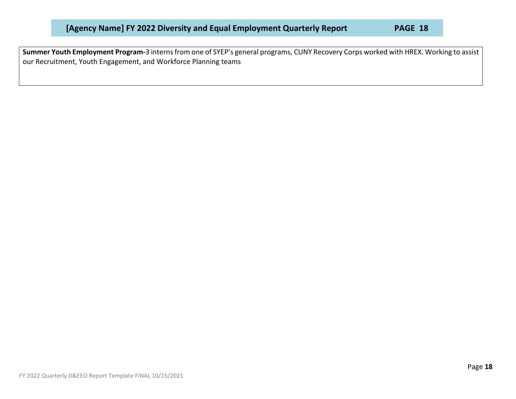**Summer Youth Employment Program-**3 interns from one of SYEP's general programs, CUNY Recovery Corps worked with HREX. Working to assist our Recruitment, Youth Engagement, and Workforce Planning teams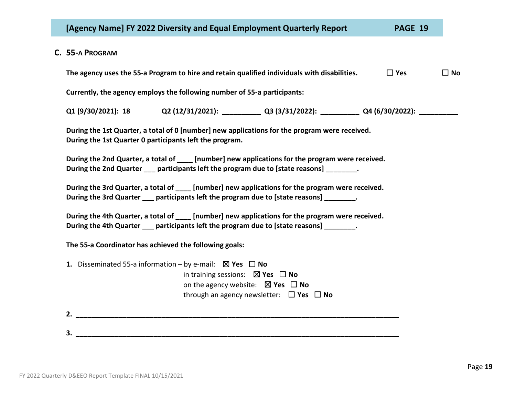#### **C. 55-A PROGRAM**

**Currently, the agency employs the following number of 55-a participants:**

| Q1 (9/30/2021): 18 | Q2 (12/31/2021): | Q3 (3/31/2022): | Q4 (6/30/2022): |  |
|--------------------|------------------|-----------------|-----------------|--|
|--------------------|------------------|-----------------|-----------------|--|

**During the 1st Quarter, a total of 0 [number] new applications for the program were received. During the 1st Quarter 0 participants left the program.**

**During the 2nd Quarter, a total of \_\_\_\_ [number] new applications for the program were received. During the 2nd Quarter \_\_\_ participants left the program due to [state reasons] \_\_\_\_\_\_\_\_.**

**During the 3rd Quarter, a total of \_\_\_\_ [number] new applications for the program were received.** During the 3rd Quarter participants left the program due to [state reasons]  $\qquad \qquad$ 

**During the 4th Quarter, a total of \_\_\_\_ [number] new applications for the program were received. During the 4th Quarter \_\_\_ participants left the program due to [state reasons] \_\_\_\_\_\_\_\_.**

**The 55-a Coordinator has achieved the following goals:**

- **1.** Disseminated 55-a information by e-mail: ☒ **Yes** ☐ **No** in training sessions: ☒ **Yes** ☐ **No** on the agency website: ☒ **Yes** ☐ **No** through an agency newsletter: ☐ **Yes** ☐ **No**
- **2. \_\_\_\_\_\_\_\_\_\_\_\_\_\_\_\_\_\_\_\_\_\_\_\_\_\_\_\_\_\_\_\_\_\_\_\_\_\_\_\_\_\_\_\_\_\_\_\_\_\_\_\_\_\_\_\_\_\_\_\_\_\_\_\_\_\_\_\_\_\_\_\_\_\_\_\_\_\_\_\_\_\_\_ 3. \_\_\_\_\_\_\_\_\_\_\_\_\_\_\_\_\_\_\_\_\_\_\_\_\_\_\_\_\_\_\_\_\_\_\_\_\_\_\_\_\_\_\_\_\_\_\_\_\_\_\_\_\_\_\_\_\_\_\_\_\_\_\_\_\_\_\_\_\_\_\_\_\_\_\_\_\_\_\_\_\_\_\_**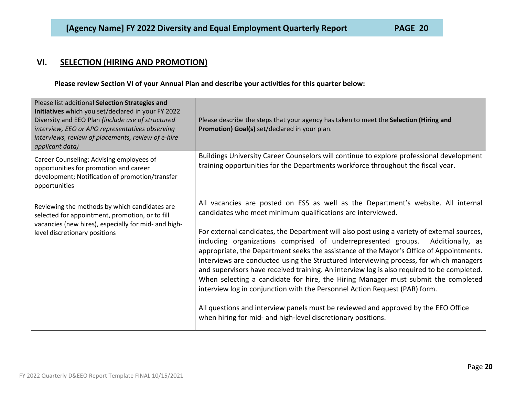# **VI. SELECTION (HIRING AND PROMOTION)**

**Please review Section VI of your Annual Plan and describe your activities for this quarter below:**

| Please list additional Selection Strategies and<br>Initiatives which you set/declared in your FY 2022<br>Diversity and EEO Plan (include use of structured<br>interview, EEO or APO representatives observing<br>interviews, review of placements, review of e-hire<br>applicant data) | Please describe the steps that your agency has taken to meet the Selection (Hiring and<br>Promotion) Goal(s) set/declared in your plan.                                                                                                                                                                                                                                                                                                                                                                                                                                                                                                                                                                                                                                                                                                                                                                                                          |
|----------------------------------------------------------------------------------------------------------------------------------------------------------------------------------------------------------------------------------------------------------------------------------------|--------------------------------------------------------------------------------------------------------------------------------------------------------------------------------------------------------------------------------------------------------------------------------------------------------------------------------------------------------------------------------------------------------------------------------------------------------------------------------------------------------------------------------------------------------------------------------------------------------------------------------------------------------------------------------------------------------------------------------------------------------------------------------------------------------------------------------------------------------------------------------------------------------------------------------------------------|
| Career Counseling: Advising employees of<br>opportunities for promotion and career<br>development; Notification of promotion/transfer<br>opportunities                                                                                                                                 | Buildings University Career Counselors will continue to explore professional development<br>training opportunities for the Departments workforce throughout the fiscal year.                                                                                                                                                                                                                                                                                                                                                                                                                                                                                                                                                                                                                                                                                                                                                                     |
| Reviewing the methods by which candidates are<br>selected for appointment, promotion, or to fill<br>vacancies (new hires), especially for mid- and high-<br>level discretionary positions                                                                                              | All vacancies are posted on ESS as well as the Department's website. All internal<br>candidates who meet minimum qualifications are interviewed.<br>For external candidates, the Department will also post using a variety of external sources,<br>including organizations comprised of underrepresented groups.<br>Additionally, as<br>appropriate, the Department seeks the assistance of the Mayor's Office of Appointments.<br>Interviews are conducted using the Structured Interviewing process, for which managers<br>and supervisors have received training. An interview log is also required to be completed.<br>When selecting a candidate for hire, the Hiring Manager must submit the completed<br>interview log in conjunction with the Personnel Action Request (PAR) form.<br>All questions and interview panels must be reviewed and approved by the EEO Office<br>when hiring for mid- and high-level discretionary positions. |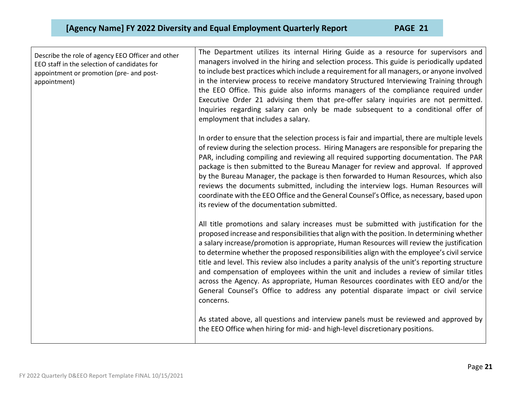| Describe the role of agency EEO Officer and other<br>EEO staff in the selection of candidates for<br>appointment or promotion (pre- and post-<br>appointment) | The Department utilizes its internal Hiring Guide as a resource for supervisors and<br>managers involved in the hiring and selection process. This guide is periodically updated<br>to include best practices which include a requirement for all managers, or anyone involved<br>in the interview process to receive mandatory Structured Interviewing Training through<br>the EEO Office. This guide also informs managers of the compliance required under<br>Executive Order 21 advising them that pre-offer salary inquiries are not permitted.<br>Inquiries regarding salary can only be made subsequent to a conditional offer of<br>employment that includes a salary.                                                                                        |
|---------------------------------------------------------------------------------------------------------------------------------------------------------------|-----------------------------------------------------------------------------------------------------------------------------------------------------------------------------------------------------------------------------------------------------------------------------------------------------------------------------------------------------------------------------------------------------------------------------------------------------------------------------------------------------------------------------------------------------------------------------------------------------------------------------------------------------------------------------------------------------------------------------------------------------------------------|
|                                                                                                                                                               | In order to ensure that the selection process is fair and impartial, there are multiple levels<br>of review during the selection process. Hiring Managers are responsible for preparing the<br>PAR, including compiling and reviewing all required supporting documentation. The PAR<br>package is then submitted to the Bureau Manager for review and approval. If approved<br>by the Bureau Manager, the package is then forwarded to Human Resources, which also<br>reviews the documents submitted, including the interview logs. Human Resources will<br>coordinate with the EEO Office and the General Counsel's Office, as necessary, based upon<br>its review of the documentation submitted.                                                                 |
|                                                                                                                                                               | All title promotions and salary increases must be submitted with justification for the<br>proposed increase and responsibilities that align with the position. In determining whether<br>a salary increase/promotion is appropriate, Human Resources will review the justification<br>to determine whether the proposed responsibilities align with the employee's civil service<br>title and level. This review also includes a parity analysis of the unit's reporting structure<br>and compensation of employees within the unit and includes a review of similar titles<br>across the Agency. As appropriate, Human Resources coordinates with EEO and/or the<br>General Counsel's Office to address any potential disparate impact or civil service<br>concerns. |
|                                                                                                                                                               | As stated above, all questions and interview panels must be reviewed and approved by<br>the EEO Office when hiring for mid- and high-level discretionary positions.                                                                                                                                                                                                                                                                                                                                                                                                                                                                                                                                                                                                   |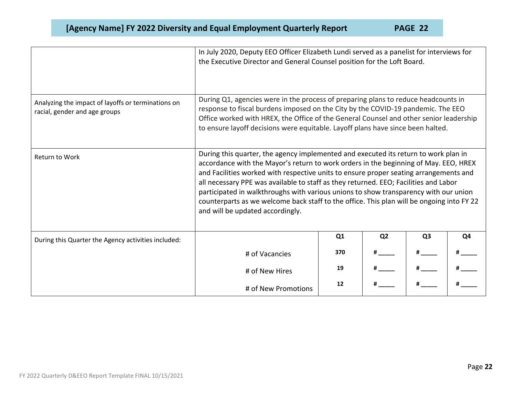|                                                                                     | In July 2020, Deputy EEO Officer Elizabeth Lundi served as a panelist for interviews for<br>the Executive Director and General Counsel position for the Loft Board.                                                                                                                                                                                                                                                                                                                                                                                                                   |     |                |                |    |  |
|-------------------------------------------------------------------------------------|---------------------------------------------------------------------------------------------------------------------------------------------------------------------------------------------------------------------------------------------------------------------------------------------------------------------------------------------------------------------------------------------------------------------------------------------------------------------------------------------------------------------------------------------------------------------------------------|-----|----------------|----------------|----|--|
| Analyzing the impact of layoffs or terminations on<br>racial, gender and age groups | During Q1, agencies were in the process of preparing plans to reduce headcounts in<br>response to fiscal burdens imposed on the City by the COVID-19 pandemic. The EEO<br>Office worked with HREX, the Office of the General Counsel and other senior leadership<br>to ensure layoff decisions were equitable. Layoff plans have since been halted.                                                                                                                                                                                                                                   |     |                |                |    |  |
| Return to Work                                                                      | During this quarter, the agency implemented and executed its return to work plan in<br>accordance with the Mayor's return to work orders in the beginning of May. EEO, HREX<br>and Facilities worked with respective units to ensure proper seating arrangements and<br>all necessary PPE was available to staff as they returned. EEO; Facilities and Labor<br>participated in walkthroughs with various unions to show transparency with our union<br>counterparts as we welcome back staff to the office. This plan will be ongoing into FY 22<br>and will be updated accordingly. |     |                |                |    |  |
| During this Quarter the Agency activities included:                                 |                                                                                                                                                                                                                                                                                                                                                                                                                                                                                                                                                                                       | Q1  | Q <sub>2</sub> | Q <sub>3</sub> | Q4 |  |
|                                                                                     | # of Vacancies                                                                                                                                                                                                                                                                                                                                                                                                                                                                                                                                                                        | 370 |                |                |    |  |
|                                                                                     | # of New Hires                                                                                                                                                                                                                                                                                                                                                                                                                                                                                                                                                                        | 19  |                |                |    |  |
|                                                                                     | 12<br># of New Promotions                                                                                                                                                                                                                                                                                                                                                                                                                                                                                                                                                             |     |                |                |    |  |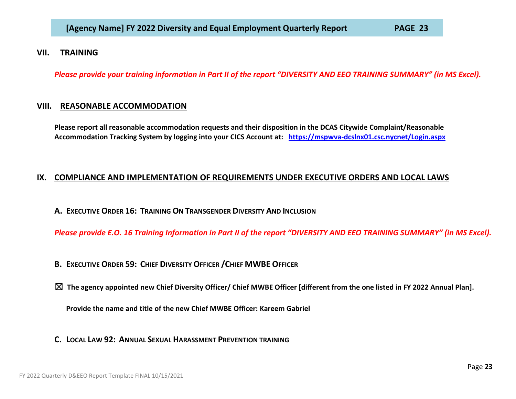#### **VII. TRAINING**

*Please provide your training information in Part II of the report "DIVERSITY AND EEO TRAINING SUMMARY" (in MS Excel).*

#### **VIII. REASONABLE ACCOMMODATION**

**Please report all reasonable accommodation requests and their disposition in the DCAS Citywide Complaint/Reasonable Accommodation Tracking System by logging into your CICS Account at: <https://mspwva-dcslnx01.csc.nycnet/Login.aspx>**

## **IX. COMPLIANCE AND IMPLEMENTATION OF REQUIREMENTS UNDER EXECUTIVE ORDERS AND LOCAL LAWS**

### **A. EXECUTIVE ORDER 16: TRAINING ON TRANSGENDER DIVERSITY AND INCLUSION**

*Please provide E.O. 16 Training Information in Part II of the report "DIVERSITY AND EEO TRAINING SUMMARY" (in MS Excel).*

- **B. EXECUTIVE ORDER 59: CHIEF DIVERSITY OFFICER /CHIEF MWBE OFFICER**
- ☒ **The agency appointed new Chief Diversity Officer/ Chief MWBE Officer [different from the one listed in FY 2022 Annual Plan].**

**Provide the name and title of the new Chief MWBE Officer: Kareem Gabriel**

**C. LOCAL LAW 92: ANNUAL SEXUAL HARASSMENT PREVENTION TRAINING**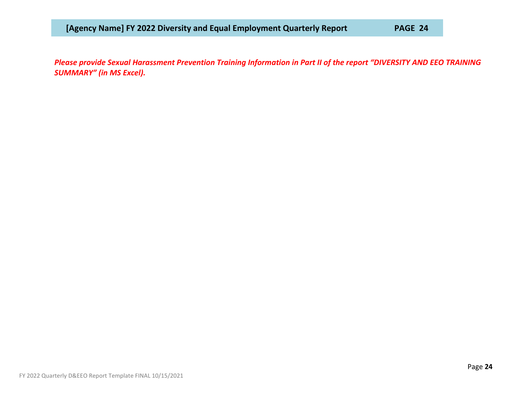*Please provide Sexual Harassment Prevention Training Information in Part II of the report "DIVERSITY AND EEO TRAINING SUMMARY" (in MS Excel).*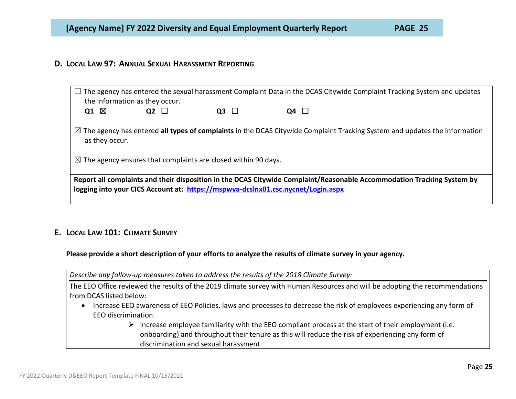### **D. LOCAL LAW 97: ANNUAL SEXUAL HARASSMENT REPORTING**

|                                                                                                                        |                                                                                                                                                         | the information as they occur. |           |           | $\Box$ The agency has entered the sexual harassment Complaint Data in the DCAS Citywide Complaint Tracking System and updates |  |  |  |
|------------------------------------------------------------------------------------------------------------------------|---------------------------------------------------------------------------------------------------------------------------------------------------------|--------------------------------|-----------|-----------|-------------------------------------------------------------------------------------------------------------------------------|--|--|--|
|                                                                                                                        | Q1 $\boxtimes$                                                                                                                                          | Q2 $\Box$                      | Q3 $\Box$ | Q4 $\Box$ |                                                                                                                               |  |  |  |
|                                                                                                                        | $\boxtimes$ The agency has entered all types of complaints in the DCAS Citywide Complaint Tracking System and updates the information<br>as they occur. |                                |           |           |                                                                                                                               |  |  |  |
| $\boxtimes$ The agency ensures that complaints are closed within 90 days.                                              |                                                                                                                                                         |                                |           |           |                                                                                                                               |  |  |  |
| Report all complaints and their disposition in the DCAS Citywide Complaint/Reasonable Accommodation Tracking System by |                                                                                                                                                         |                                |           |           |                                                                                                                               |  |  |  |
| logging into your CICS Account at: https://mspwva-dcslnx01.csc.nycnet/Login.aspx                                       |                                                                                                                                                         |                                |           |           |                                                                                                                               |  |  |  |

### **E. LOCAL LAW 101: CLIMATE SURVEY**

**Please provide a short description of your efforts to analyze the results of climate survey in your agency.**

*Describe any follow-up measures taken to address the results of the 2018 Climate Survey:*

The EEO Office reviewed the results of the 2019 climate survey with Human Resources and will be adopting the recommendations from DCAS listed below:

- Increase EEO awareness of EEO Policies, laws and processes to decrease the risk of employees experiencing any form of EEO discrimination.
	- $\triangleright$  Increase employee familiarity with the EEO compliant process at the start of their employment (i.e. onboarding) and throughout their tenure as this will reduce the risk of experiencing any form of discrimination and sexual harassment.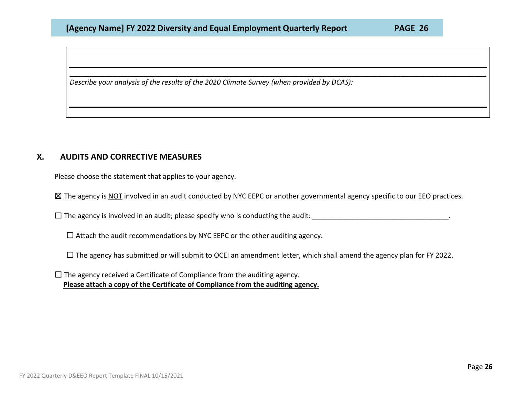*Describe your analysis of the results of the 2020 Climate Survey (when provided by DCAS):*

# **X. AUDITS AND CORRECTIVE MEASURES**

Please choose the statement that applies to your agency.

⊠ The agency is NOT involved in an audit conducted by NYC EEPC or another governmental agency specific to our EEO practices.

\_\_\_\_\_\_\_\_\_\_\_\_\_\_\_\_\_\_\_\_\_\_\_\_\_\_\_\_\_\_\_\_\_\_\_\_\_\_\_\_\_\_\_\_\_\_\_\_\_\_\_\_\_\_\_\_\_\_\_\_\_\_\_\_\_\_\_\_\_\_\_\_\_\_\_\_\_\_\_\_\_\_\_\_\_\_\_\_\_\_\_\_\_\_\_\_\_\_\_\_\_\_\_\_\_\_\_

 $\Box$  The agency is involved in an audit; please specify who is conducting the audit:  $\Box$ 

 $\Box$  Attach the audit recommendations by NYC EEPC or the other auditing agency.

☐ The agency has submitted or will submit to OCEI an amendment letter, which shall amend the agency plan for FY 2022.

 $\Box$  The agency received a Certificate of Compliance from the auditing agency. **Please attach a copy of the Certificate of Compliance from the auditing agency.**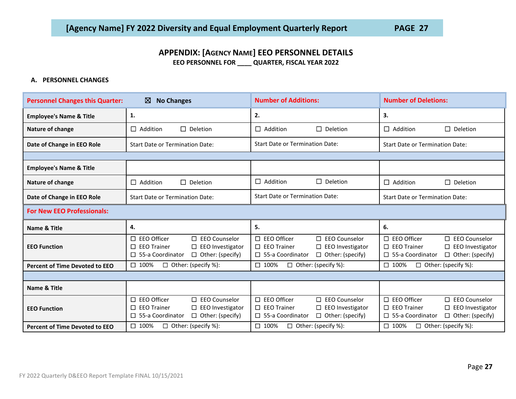# **APPENDIX: [AGENCY NAME] EEO PERSONNEL DETAILS EEO PERSONNEL FOR \_\_\_\_ QUARTER, FISCAL YEAR 2022**

#### **A. PERSONNEL CHANGES**

| <b>Personnel Changes this Quarter:</b> | ⊠<br><b>No Changes</b>                                                                                                                               | <b>Number of Additions:</b><br><b>Number of Deletions:</b>                                                                                        |                                                                                                                                                 |  |
|----------------------------------------|------------------------------------------------------------------------------------------------------------------------------------------------------|---------------------------------------------------------------------------------------------------------------------------------------------------|-------------------------------------------------------------------------------------------------------------------------------------------------|--|
| <b>Employee's Name &amp; Title</b>     | 1.                                                                                                                                                   | 2.                                                                                                                                                | 3.                                                                                                                                              |  |
| Nature of change                       | $\Box$ Addition<br>$\Box$ Deletion                                                                                                                   | $\Box$ Deletion<br>$\Box$ Addition                                                                                                                | $\Box$ Deletion<br>$\Box$ Addition                                                                                                              |  |
| Date of Change in EEO Role             | <b>Start Date or Termination Date:</b>                                                                                                               | Start Date or Termination Date:                                                                                                                   | <b>Start Date or Termination Date:</b>                                                                                                          |  |
|                                        |                                                                                                                                                      |                                                                                                                                                   |                                                                                                                                                 |  |
| <b>Employee's Name &amp; Title</b>     |                                                                                                                                                      |                                                                                                                                                   |                                                                                                                                                 |  |
| <b>Nature of change</b>                | $\Box$ Addition<br>$\Box$ Deletion                                                                                                                   | $\Box$ Addition<br>$\Box$ Deletion                                                                                                                | $\Box$ Addition<br>$\Box$ Deletion                                                                                                              |  |
| Date of Change in EEO Role             | <b>Start Date or Termination Date:</b>                                                                                                               | <b>Start Date or Termination Date:</b>                                                                                                            | <b>Start Date or Termination Date:</b>                                                                                                          |  |
| <b>For New EEO Professionals:</b>      |                                                                                                                                                      |                                                                                                                                                   |                                                                                                                                                 |  |
| Name & Title                           | 4.                                                                                                                                                   | 5.                                                                                                                                                | 6.                                                                                                                                              |  |
| <b>EEO Function</b>                    | $\square$ EEO Officer<br>$\Box$ EEO Counselor<br>$\Box$ EEO Trainer<br>$\Box$ EEO Investigator<br>□ 55-a Coordinator<br>$\Box$ Other: (specify)      | $\Box$ FFO Officer<br>$\Box$ EEO Counselor<br>$\Box$ EEO Trainer<br>$\Box$ EEO Investigator<br>$\Box$ Other: (specify)<br>$\Box$ 55-a Coordinator | $\Pi$ FFO Officer<br>$\Box$ EEO Counselor<br>$\Box$ EEO Investigator<br>$\Box$ EEO Trainer<br>□ 55-a Coordinator<br>$\Box$ Other: (specify)     |  |
| Percent of Time Devoted to EEO         | $\Box$ Other: (specify %):<br>$\square$ 100%                                                                                                         | $\square$ 100%<br>$\Box$ Other: (specify %):<br>$\square$ 100%<br>$\Box$ Other: (specify %):                                                      |                                                                                                                                                 |  |
|                                        |                                                                                                                                                      |                                                                                                                                                   |                                                                                                                                                 |  |
| Name & Title                           |                                                                                                                                                      |                                                                                                                                                   |                                                                                                                                                 |  |
| <b>EEO Function</b>                    | $\Box$ EEO Officer<br>$\Box$ EEO Counselor<br>$\square$ EEO Trainer<br>$\Box$ EEO Investigator<br>$\Box$ Other: (specify)<br>$\Box$ 55-a Coordinator | $\Box$ EEO Officer<br>$\Box$ EEO Counselor<br>$\Box$ EEO Trainer<br>$\Box$ EEO Investigator<br>$\Box$ Other: (specify)<br>$\Box$ 55-a Coordinator | $\Box$ EEO Officer<br>$\Box$ EEO Counselor<br>$\square$ EEO Trainer<br>$\Box$ EEO Investigator<br>□ 55-a Coordinator<br>$\Box$ Other: (specify) |  |
| <b>Percent of Time Devoted to EEO</b>  | $\square$ 100%<br>$\Box$ Other: (specify %):                                                                                                         | $\square$ 100%<br>$\Box$ Other: (specify %):<br>$\square$ 100%<br>$\Box$ Other: (specify %):                                                      |                                                                                                                                                 |  |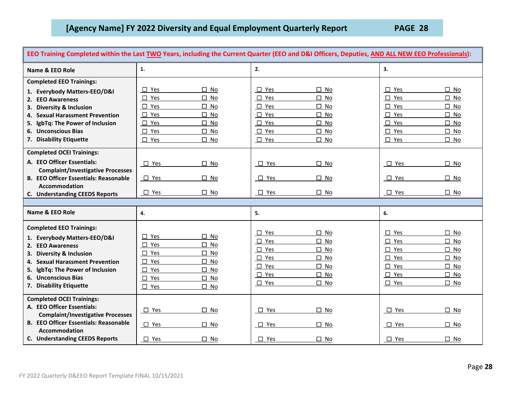| EEO Training Completed within the Last TWO Years, including the Current Quarter (EEO and D&I Officers, Deputies, AND ALL NEW EEO Professionals):                                                                                                                                                           |                                                                                                                                                                                                                                                        |                                                                                                                                                                                                                                                           |                                                                                                                                                                                                                                                               |  |  |
|------------------------------------------------------------------------------------------------------------------------------------------------------------------------------------------------------------------------------------------------------------------------------------------------------------|--------------------------------------------------------------------------------------------------------------------------------------------------------------------------------------------------------------------------------------------------------|-----------------------------------------------------------------------------------------------------------------------------------------------------------------------------------------------------------------------------------------------------------|---------------------------------------------------------------------------------------------------------------------------------------------------------------------------------------------------------------------------------------------------------------|--|--|
| Name & EEO Role                                                                                                                                                                                                                                                                                            | 1.                                                                                                                                                                                                                                                     | 2.                                                                                                                                                                                                                                                        | 3.                                                                                                                                                                                                                                                            |  |  |
| <b>Completed EEO Trainings:</b><br>1. Everybody Matters-EEO/D&I<br>2. EEO Awareness<br>3. Diversity & Inclusion<br>4. Sexual Harassment Prevention<br>5. IgbTq: The Power of Inclusion<br>6. Unconscious Bias<br>7. Disability Etiquette<br><b>Completed OCEI Trainings:</b><br>A. EEO Officer Essentials: | $\square$ No<br>$\square$ Yes<br>$\square$ Yes<br>$\Box$ No<br>$\square$ Yes<br>$\n  Q No$<br>$\square$ Yes<br>$\Box$ No<br>$\square$ Yes<br>$\square$ No<br>$\square$ No<br>$\Box$ Yes<br>$\square$ Yes<br>$\square$ No<br>$\square$ No<br>$\Box$ Yes | $\square$ No<br>$\Box$ Yes<br>$\square$ Yes<br>$\square$ No<br>$\Box$ Yes<br>$\n  Q No$<br>$\square$ Yes<br>$\square$ No<br>$\square$ Yes<br>$\square$ No<br>$\square$ Yes<br>$\square$ No<br>$\square$ Yes<br>$\square$ No<br>$\Box$ Yes<br>$\square$ No | $\square$ No<br>$\square$ Yes<br>$\square$ Yes<br>$\square$ No<br>$\square$ Yes<br>$\n  Do\n$<br>$\square$ Yes<br>$\n  Do\n$<br>$\square$ Yes<br>$\square$ No<br>$\square$ Yes<br>$\square$ No<br>$\square$ Yes<br>$\Box$ No<br>$\square$ Yes<br>$\square$ No |  |  |
| <b>Complaint/Investigative Processes</b><br><b>B. EEO Officer Essentials: Reasonable</b><br><b>Accommodation</b><br><b>C.</b> Understanding CEEDS Reports<br>Name & EEO Role                                                                                                                               | $\square$ Yes<br>$\square$ No<br>$\square$ No<br>$\square$ Yes<br>4.                                                                                                                                                                                   | $\square$ Yes<br>$\square$ No<br>$\square$ No<br>$\square$ Yes<br>5.                                                                                                                                                                                      | $\Box$ Yes<br>$\square$ No<br>$\square$ No<br>$\square$ Yes<br>6.                                                                                                                                                                                             |  |  |
| <b>Completed EEO Trainings:</b><br>1. Everybody Matters-EEO/D&I<br>2. EEO Awareness<br>3. Diversity & Inclusion<br>4. Sexual Harassment Prevention<br>5. IgbTq: The Power of Inclusion<br>6. Unconscious Bias                                                                                              | $\square$ Yes<br>$\square$ No<br>$\Box$ No<br>$\square$ Yes<br>$\square$ Yes<br>$\Box$ No<br>$\square$ Yes<br>$\square$ No<br>$\square$ Yes<br>$\square$ No                                                                                            | $\n  Do\n$<br>$\Box$ Yes<br>$\square$ No<br>$\square$ Yes<br>$\square$ Yes<br>$\square$ No<br>$\square$ Yes<br>$\square$ No<br>$\square$ Yes<br>$\square$ No<br>$\square$ Yes<br>$\square$ No                                                             | $\square$ Yes<br>$\n  Q$ No<br>$\square$ No<br>$\square$ Yes<br>$\square$ No<br>$\square$ Yes<br>$\square$ Yes<br>$\square$ No<br>$\square$ Yes<br>$\Box$ No<br>$\square$ Yes<br>$\square$ No                                                                 |  |  |
| 7. Disability Etiquette                                                                                                                                                                                                                                                                                    | $\square$ Yes<br>$\Box$ No<br>$\square$ Yes<br>$\Box$ No                                                                                                                                                                                               | $\square$ Yes<br>$\square$ No                                                                                                                                                                                                                             | $\square$ Yes<br>$\square$ No                                                                                                                                                                                                                                 |  |  |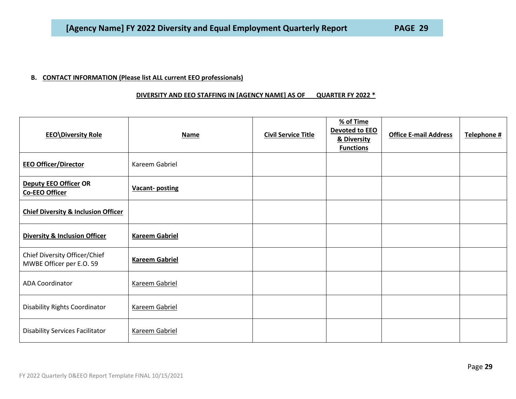#### **B. CONTACT INFORMATION (Please list ALL current EEO professionals)**

#### **DIVERSITY AND EEO STAFFING IN [AGENCY NAME] AS OF QUARTER FY 2022 \***

| <b>EEO\Diversity Role</b>                                 | Name                  | <b>Civil Service Title</b> | % of Time<br>Devoted to EEO<br>& Diversity<br><b>Functions</b> | <b>Office E-mail Address</b> | Telephone # |
|-----------------------------------------------------------|-----------------------|----------------------------|----------------------------------------------------------------|------------------------------|-------------|
| <b>EEO Officer/Director</b>                               | Kareem Gabriel        |                            |                                                                |                              |             |
| <b>Deputy EEO Officer OR</b><br>Co-EEO Officer            | <b>Vacant-posting</b> |                            |                                                                |                              |             |
| <b>Chief Diversity &amp; Inclusion Officer</b>            |                       |                            |                                                                |                              |             |
| <b>Diversity &amp; Inclusion Officer</b>                  | <b>Kareem Gabriel</b> |                            |                                                                |                              |             |
| Chief Diversity Officer/Chief<br>MWBE Officer per E.O. 59 | <b>Kareem Gabriel</b> |                            |                                                                |                              |             |
| <b>ADA Coordinator</b>                                    | <b>Kareem Gabriel</b> |                            |                                                                |                              |             |
| <b>Disability Rights Coordinator</b>                      | Kareem Gabriel        |                            |                                                                |                              |             |
| <b>Disability Services Facilitator</b>                    | <b>Kareem Gabriel</b> |                            |                                                                |                              |             |